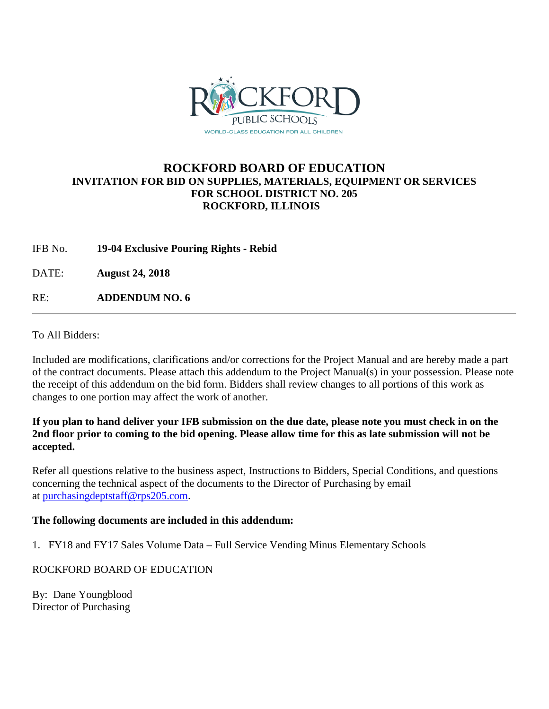

# **ROCKFORD BOARD OF EDUCATION INVITATION FOR BID ON SUPPLIES, MATERIALS, EQUIPMENT OR SERVICES FOR SCHOOL DISTRICT NO. 205 ROCKFORD, ILLINOIS**

IFB No. **19-04 Exclusive Pouring Rights - Rebid**

DATE: **August 24, 2018**

RE: **ADDENDUM NO. 6**

To All Bidders:

Included are modifications, clarifications and/or corrections for the Project Manual and are hereby made a part of the contract documents. Please attach this addendum to the Project Manual(s) in your possession. Please note the receipt of this addendum on the bid form. Bidders shall review changes to all portions of this work as changes to one portion may affect the work of another.

### **If you plan to hand deliver your IFB submission on the due date, please note you must check in on the 2nd floor prior to coming to the bid opening. Please allow time for this as late submission will not be accepted.**

Refer all questions relative to the business aspect, Instructions to Bidders, Special Conditions, and questions concerning the technical aspect of the documents to the Director of Purchasing by email at [purchasingdeptstaff@rps205.com.](mailto:purchasingdeptstaff@rps205.com)

#### **The following documents are included in this addendum:**

1. FY18 and FY17 Sales Volume Data – Full Service Vending Minus Elementary Schools

## ROCKFORD BOARD OF EDUCATION

By: Dane Youngblood Director of Purchasing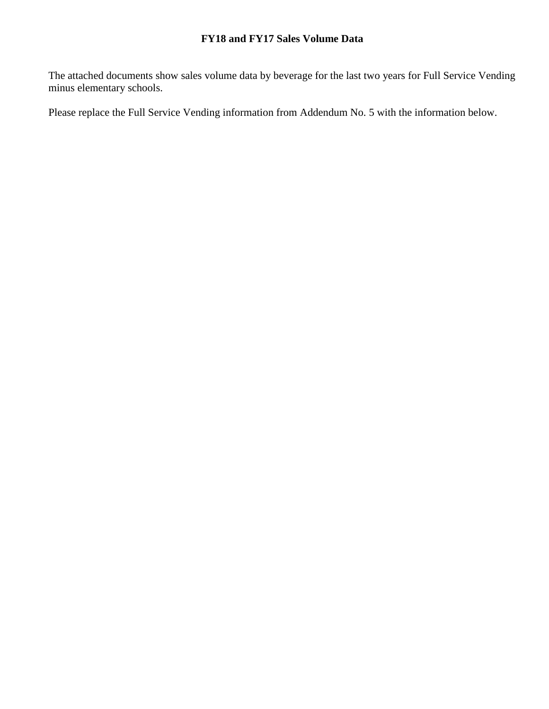The attached documents show sales volume data by beverage for the last two years for Full Service Vending minus elementary schools.

Please replace the Full Service Vending information from Addendum No. 5 with the information below.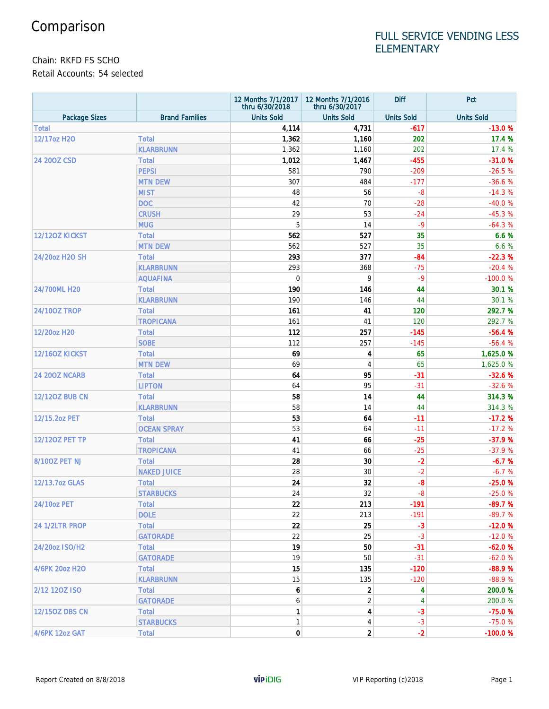# FULL SERVICE VENDING LESS **ELEMENTARY**

Chain: RKFD FS SCHO

Retail Accounts: 54 selected

|                       |                                | 12 Months 7/1/2017<br>thru 6/30/2018 | 12 Months 7/1/2016<br>thru 6/30/2017 | <b>Diff</b>       | Pct               |
|-----------------------|--------------------------------|--------------------------------------|--------------------------------------|-------------------|-------------------|
| <b>Package Sizes</b>  | <b>Brand Families</b>          | <b>Units Sold</b>                    | <b>Units Sold</b>                    | <b>Units Sold</b> | <b>Units Sold</b> |
| <b>Total</b>          |                                | 4,114                                | 4,731                                | $-617$            | $-13.0%$          |
| 12/17oz H2O           | <b>Total</b>                   | 1,362                                | 1,160                                | 202               | 17.4 %            |
|                       | <b>KLARBRUNN</b>               | 1,362                                | 1,160                                | 202               | 17.4 %            |
| 24 200Z CSD           | <b>Total</b>                   | 1,012                                | 1,467                                | $-455$            | $-31.0%$          |
|                       | <b>PEPSI</b>                   | 581                                  | 790                                  | $-209$            | $-26.5%$          |
|                       | <b>MTN DEW</b>                 | 307                                  | 484                                  | $-177$            | $-36.6%$          |
|                       | <b>MIST</b>                    | 48                                   | 56                                   | $-8$              | $-14.3%$          |
|                       | <b>DOC</b>                     | 42                                   | 70                                   | $-28$             | $-40.0%$          |
|                       | <b>CRUSH</b>                   | 29                                   | 53                                   | $-24$             | $-45.3%$          |
|                       | <b>MUG</b>                     | 5                                    | 14                                   | $-9$              | $-64.3%$          |
| <b>12/120Z KICKST</b> | <b>Total</b>                   | 562                                  | 527                                  | 35                | 6.6%              |
|                       | <b>MTN DEW</b>                 | 562                                  | 527                                  | 35                | 6.6 %             |
| 24/20oz H2O SH        | <b>Total</b>                   | 293                                  | 377                                  | $-84$             | $-22.3%$          |
|                       | <b>KLARBRUNN</b>               | 293                                  | 368                                  | $-75$             | $-20.4%$          |
|                       | <b>AQUAFINA</b>                | 0                                    | 9                                    | $-9$              | $-100.0%$         |
| 24/700ML H20          | <b>Total</b>                   | 190                                  | 146                                  | 44                | 30.1 %            |
|                       | <b>KLARBRUNN</b>               | 190                                  | 146                                  | 44                | 30.1 %            |
| <b>24/100Z TROP</b>   | <b>Total</b>                   | 161                                  | 41                                   | 120               | 292.7 %           |
|                       | <b>TROPICANA</b>               | 161                                  | 41                                   | 120               | 292.7 %           |
| 12/20oz H20           | <b>Total</b>                   | 112                                  | 257                                  | $-145$            | $-56.4%$          |
|                       | <b>SOBE</b>                    | 112                                  | 257                                  | $-145$            | $-56.4%$          |
| 12/160Z KICKST        |                                | 69                                   | 4                                    | 65                | 1,625.0%          |
|                       | <b>Total</b><br><b>MTN DEW</b> | 69                                   | 4                                    | 65                | 1,625.0%          |
| <b>24 200Z NCARB</b>  | <b>Total</b>                   | 64                                   | 95                                   | $-31$             | $-32.6%$          |
|                       |                                |                                      | 95                                   | $-31$             |                   |
| <b>12/120Z BUB CN</b> | <b>LIPTON</b>                  | 64                                   |                                      |                   | $-32.6%$          |
|                       | <b>Total</b>                   | 58<br>58                             | 14                                   | 44                | 314.3 %           |
| 12/15.2oz PET         | <b>KLARBRUNN</b>               |                                      | 14                                   | 44                | 314.3 %           |
|                       | <b>Total</b>                   | 53                                   | 64                                   | $-11$             | $-17.2%$          |
|                       | <b>OCEAN SPRAY</b>             | 53                                   | 64                                   | $-11$             | $-17.2%$          |
| 12/120Z PET TP        | <b>Total</b>                   | 41                                   | 66                                   | $-25$             | $-37.9%$          |
|                       | <b>TROPICANA</b>               | 41                                   | 66                                   | $-25$             | $-37.9%$          |
| 8/100Z PET NJ         | <b>Total</b>                   | 28                                   | 30                                   | $-2$              | $-6.7%$           |
|                       | <b>NAKED JUICE</b>             | 28                                   | 30                                   | $-2$              | $-6.7%$           |
| 12/13.7oz GLAS        | <b>Total</b>                   | 24                                   | 32                                   | $-8$              | $-25.0%$          |
|                       | <b>STARBUCKS</b>               | 24                                   | 32                                   | $-8$              | $-25.0%$          |
| 24/10oz PET           | <b>Total</b>                   | 22                                   | 213                                  | $-191$            | $-89.7%$          |
|                       | <b>DOLE</b>                    | 22                                   | 213                                  | $-191$            | $-89.7%$          |
| 24 1/2LTR PROP        | <b>Total</b>                   | 22                                   | 25                                   | $-3$              | $-12.0%$          |
|                       | <b>GATORADE</b>                | 22                                   | 25                                   | $-3$              | $-12.0%$          |
| 24/20oz ISO/H2        | <b>Total</b>                   | 19                                   | 50                                   | $-31$             | $-62.0%$          |
|                       | <b>GATORADE</b>                | 19                                   | 50                                   | $-31$             | $-62.0%$          |
| 4/6PK 20oz H2O        | <b>Total</b>                   | 15                                   | 135                                  | $-120$            | $-88.9%$          |
|                       | <b>KLARBRUNN</b>               | 15                                   | 135                                  | $-120$            | $-88.9%$          |
| 2/12 120Z ISO         | <b>Total</b>                   | 6                                    | $\mathbf{2}$                         | 4                 | 200.0%            |
|                       | <b>GATORADE</b>                | 6                                    | $\overline{2}$                       | 4                 | 200.0%            |
| 12/150Z DBS CN        | <b>Total</b>                   | 1                                    | 4                                    | $-3$              | $-75.0%$          |
|                       | <b>STARBUCKS</b>               | $\mathbf{1}$                         | 4                                    | $-3$              | $-75.0%$          |
| 4/6PK 12oz GAT        | <b>Total</b>                   | $\mathbf{0}$                         | $\mathbf{2}$                         | $-2$              | $-100.0%$         |